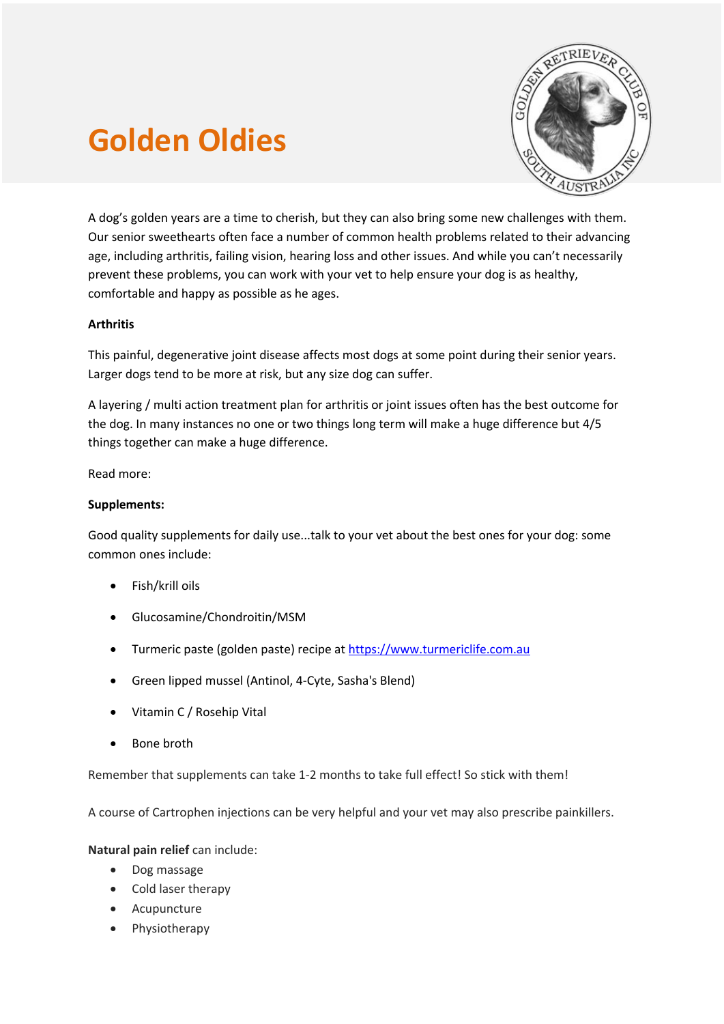# **Golden Oldies**



A dog's golden years are a time to cherish, but they can also bring some new challenges with them. Our senior sweethearts often face a number of common health problems related to their advancing age, including arthritis, failing vision, hearing loss and other issues. And while you can't necessarily prevent these problems, you can work with your vet to help ensure your dog is as healthy, comfortable and happy as possible as he ages.

## **Arthritis**

This painful, degenerative joint disease affects most dogs at some point during their senior years. Larger dogs tend to be more at risk, but any size dog can suffer.

A layering / multi action treatment plan for arthritis or joint issues often has the best outcome for the dog. In many instances no one or two things long term will make a huge difference but 4/5 things together can make a huge difference.

Read more:

## **Supplements:**

Good quality supplements for daily use...talk to your vet about the best ones for your dog: some common ones include:

- Fish/krill oils
- Glucosamine/Chondroitin/MSM
- Turmeric paste (golden paste) recipe at https://www.turmericlife.com.au
- Green lipped mussel (Antinol, 4-Cyte, Sasha's Blend)
- Vitamin C / Rosehip Vital
- Bone broth

Remember that supplements can take 1-2 months to take full effect! So stick with them!

A course of Cartrophen injections can be very helpful and your vet may also prescribe painkillers.

## **Natural pain relief** can include:

- Dog massage
- Cold laser therapy
- Acupuncture
- Physiotherapy